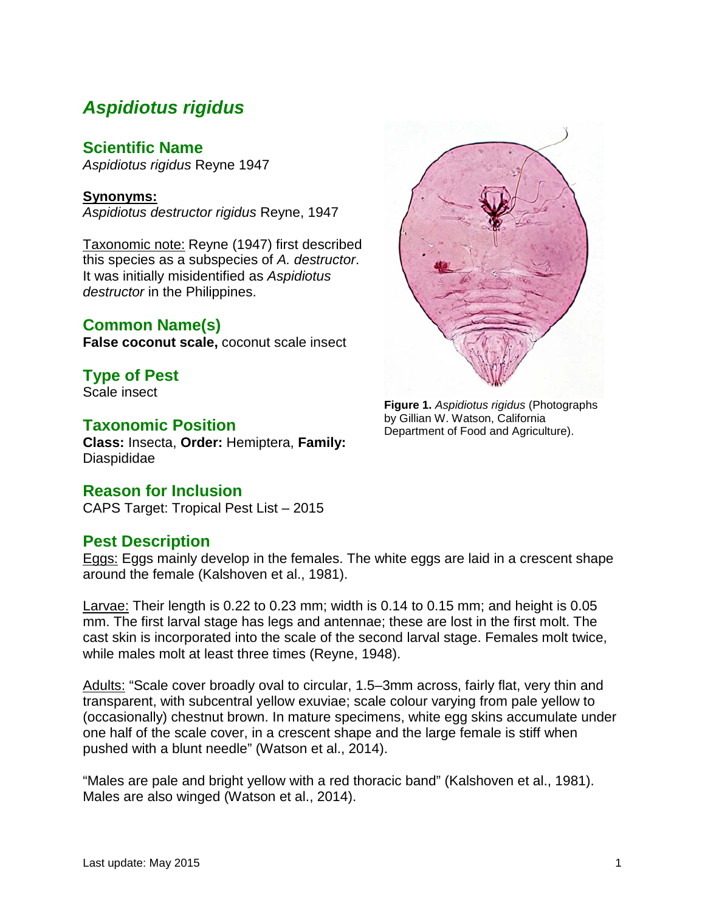# *Aspidiotus rigidus*

# **Scientific Name**

*Aspidiotus rigidus* Reyne 1947

#### **Synonyms:**

*Aspidiotus destructor rigidus* Reyne, 1947

Taxonomic note: Reyne (1947) first described this species as a subspecies of *A. destructor*. It was initially misidentified as *Aspidiotus destructor* in the Philippines.

# **Common Name(s)**

**False coconut scale,** coconut scale insect

**Type of Pest** Scale insect

# **Taxonomic Position**

**Class:** Insecta, **Order:** Hemiptera, **Family:** Diaspididae

## **Reason for Inclusion**

CAPS Target: Tropical Pest List – 2015

# **Pest Description**

Eggs: Eggs mainly develop in the females. The white eggs are laid in a crescent shape around the female (Kalshoven et al., 1981).

Larvae: Their length is 0.22 to 0.23 mm; width is 0.14 to 0.15 mm; and height is 0.05 mm. The first larval stage has legs and antennae; these are lost in the first molt. The cast skin is incorporated into the scale of the second larval stage. Females molt twice, while males molt at least three times (Reyne, 1948).

Adults: "Scale cover broadly oval to circular, 1.5–3mm across, fairly flat, very thin and transparent, with subcentral yellow exuviae; scale colour varying from pale yellow to (occasionally) chestnut brown. In mature specimens, white egg skins accumulate under one half of the scale cover, in a crescent shape and the large female is stiff when pushed with a blunt needle" (Watson et al., 2014).

"Males are pale and bright yellow with a red thoracic band" (Kalshoven et al., 1981). Males are also winged (Watson et al., 2014).



**Figure 1.** *Aspidiotus rigidus* (Photographs by Gillian W. Watson, California Department of Food and Agriculture).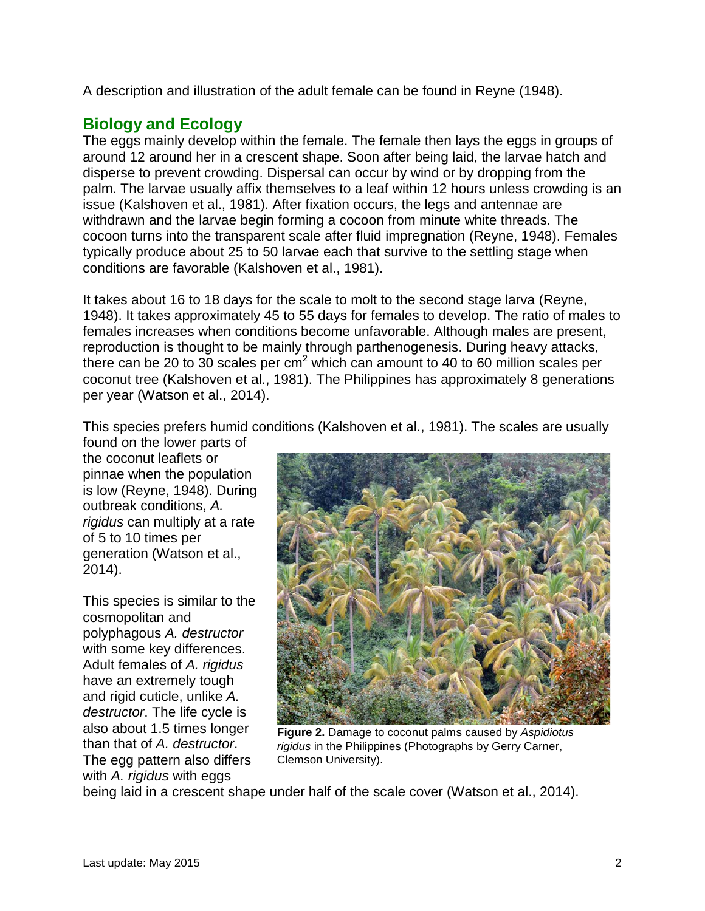A description and illustration of the adult female can be found in Reyne (1948).

# **Biology and Ecology**

The eggs mainly develop within the female. The female then lays the eggs in groups of around 12 around her in a crescent shape. Soon after being laid, the larvae hatch and disperse to prevent crowding. Dispersal can occur by wind or by dropping from the palm. The larvae usually affix themselves to a leaf within 12 hours unless crowding is an issue (Kalshoven et al., 1981). After fixation occurs, the legs and antennae are withdrawn and the larvae begin forming a cocoon from minute white threads. The cocoon turns into the transparent scale after fluid impregnation (Reyne, 1948). Females typically produce about 25 to 50 larvae each that survive to the settling stage when conditions are favorable (Kalshoven et al., 1981).

It takes about 16 to 18 days for the scale to molt to the second stage larva (Reyne, 1948). It takes approximately 45 to 55 days for females to develop. The ratio of males to females increases when conditions become unfavorable. Although males are present, reproduction is thought to be mainly through parthenogenesis. During heavy attacks, there can be 20 to 30 scales per  $cm<sup>2</sup>$  which can amount to 40 to 60 million scales per coconut tree (Kalshoven et al., 1981). The Philippines has approximately 8 generations per year (Watson et al., 2014).

This species prefers humid conditions (Kalshoven et al., 1981). The scales are usually

found on the lower parts of the coconut leaflets or pinnae when the population is low (Reyne, 1948). During outbreak conditions, *A. rigidus* can multiply at a rate of 5 to 10 times per generation (Watson et al., 2014).

This species is similar to the cosmopolitan and polyphagous *A. destructor* with some key differences. Adult females of *A. rigidus* have an extremely tough and rigid cuticle, unlike *A. destructor*. The life cycle is also about 1.5 times longer than that of *A. destructor*. The egg pattern also differs with *A. rigidus* with eggs



**Figure 2.** Damage to coconut palms caused by *Aspidiotus rigidus* in the Philippines (Photographs by Gerry Carner, Clemson University).

being laid in a crescent shape under half of the scale cover (Watson et al., 2014).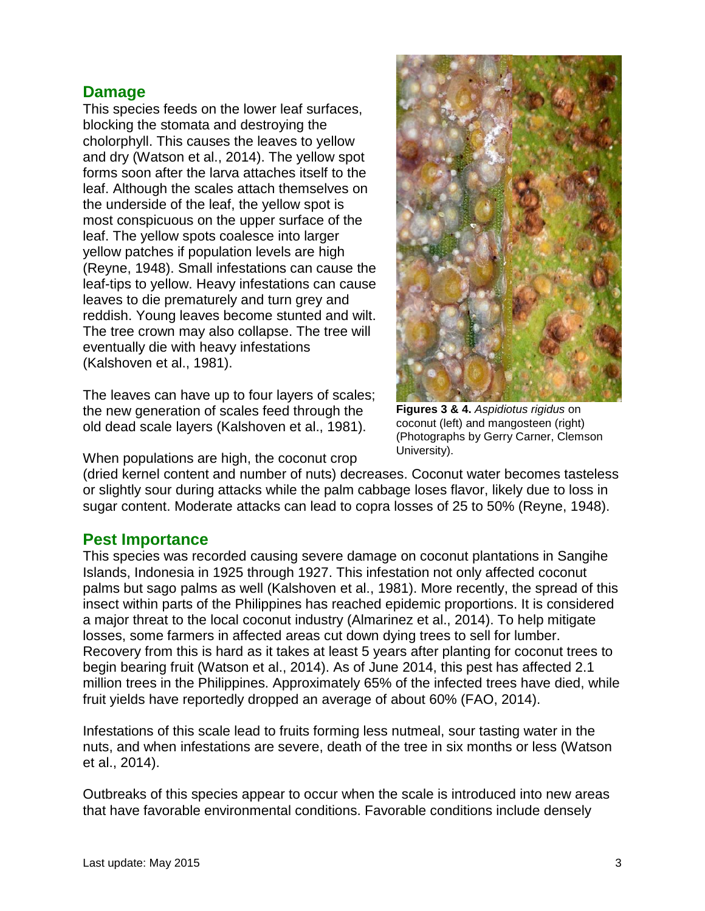# **Damage**

This species feeds on the lower leaf surfaces, blocking the stomata and destroying the cholorphyll. This causes the leaves to yellow and dry (Watson et al., 2014). The yellow spot forms soon after the larva attaches itself to the leaf. Although the scales attach themselves on the underside of the leaf, the yellow spot is most conspicuous on the upper surface of the leaf. The yellow spots coalesce into larger yellow patches if population levels are high (Reyne, 1948). Small infestations can cause the leaf-tips to yellow. Heavy infestations can cause leaves to die prematurely and turn grey and reddish. Young leaves become stunted and wilt. The tree crown may also collapse. The tree will eventually die with heavy infestations (Kalshoven et al., 1981).

The leaves can have up to four layers of scales; the new generation of scales feed through the old dead scale layers (Kalshoven et al., 1981).

When populations are high, the coconut crop



**Figures 3 & 4.** *Aspidiotus rigidus* on coconut (left) and mangosteen (right) (Photographs by Gerry Carner, Clemson University).

(dried kernel content and number of nuts) decreases. Coconut water becomes tasteless or slightly sour during attacks while the palm cabbage loses flavor, likely due to loss in sugar content. Moderate attacks can lead to copra losses of 25 to 50% (Reyne, 1948).

## **Pest Importance**

This species was recorded causing severe damage on coconut plantations in Sangihe Islands, Indonesia in 1925 through 1927. This infestation not only affected coconut palms but sago palms as well (Kalshoven et al., 1981). More recently, the spread of this insect within parts of the Philippines has reached epidemic proportions. It is considered a major threat to the local coconut industry (Almarinez et al., 2014). To help mitigate losses, some farmers in affected areas cut down dying trees to sell for lumber. Recovery from this is hard as it takes at least 5 years after planting for coconut trees to begin bearing fruit (Watson et al., 2014). As of June 2014, this pest has affected 2.1 million trees in the Philippines. Approximately 65% of the infected trees have died, while fruit yields have reportedly dropped an average of about 60% (FAO, 2014).

Infestations of this scale lead to fruits forming less nutmeal, sour tasting water in the nuts, and when infestations are severe, death of the tree in six months or less (Watson et al., 2014).

Outbreaks of this species appear to occur when the scale is introduced into new areas that have favorable environmental conditions. Favorable conditions include densely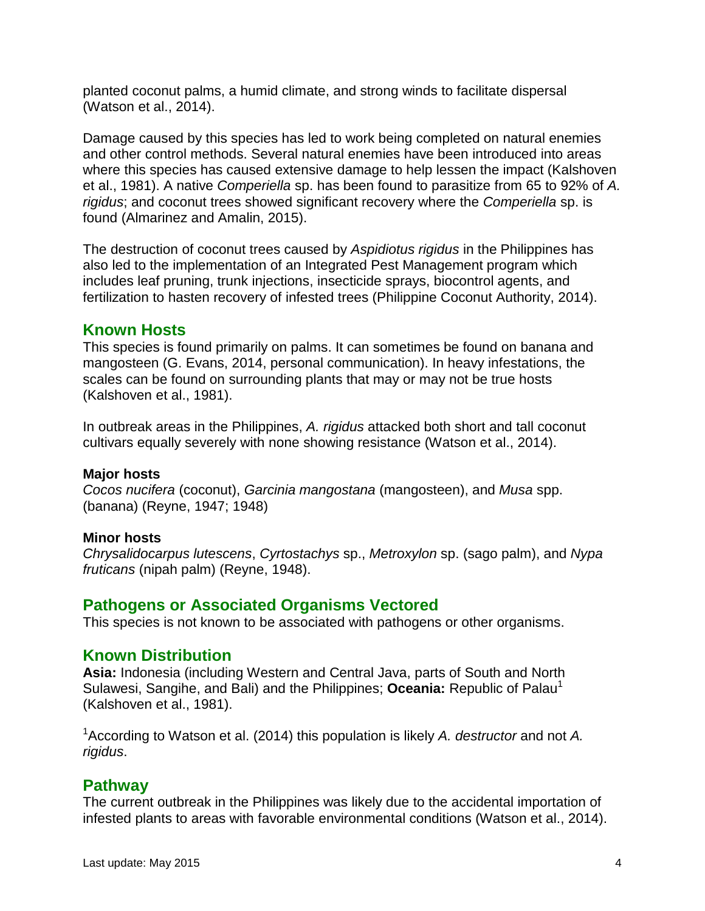planted coconut palms, a humid climate, and strong winds to facilitate dispersal (Watson et al., 2014).

Damage caused by this species has led to work being completed on natural enemies and other control methods. Several natural enemies have been introduced into areas where this species has caused extensive damage to help lessen the impact (Kalshoven et al., 1981). A native *Comperiella* sp. has been found to parasitize from 65 to 92% of *A. rigidus*; and coconut trees showed significant recovery where the *Comperiella* sp. is found (Almarinez and Amalin, 2015).

The destruction of coconut trees caused by *Aspidiotus rigidus* in the Philippines has also led to the implementation of an Integrated Pest Management program which includes leaf pruning, trunk injections, insecticide sprays, biocontrol agents, and fertilization to hasten recovery of infested trees (Philippine Coconut Authority, 2014).

# **Known Hosts**

This species is found primarily on palms. It can sometimes be found on banana and mangosteen (G. Evans, 2014, personal communication). In heavy infestations, the scales can be found on surrounding plants that may or may not be true hosts (Kalshoven et al., 1981).

In outbreak areas in the Philippines, *A. rigidus* attacked both short and tall coconut cultivars equally severely with none showing resistance (Watson et al., 2014).

#### **Major hosts**

*Cocos nucifera* (coconut), *Garcinia mangostana* (mangosteen), and *Musa* spp. (banana) (Reyne, 1947; 1948)

#### **Minor hosts**

*Chrysalidocarpus lutescens*, *Cyrtostachys* sp., *Metroxylon* sp. (sago palm), and *Nypa fruticans* (nipah palm) (Reyne, 1948).

## **Pathogens or Associated Organisms Vectored**

This species is not known to be associated with pathogens or other organisms.

## **Known Distribution**

**Asia:** Indonesia (including Western and Central Java, parts of South and North Sulawesi, Sangihe, and Bali) and the Philippines; **Oceania:** Republic of Palau<sup>1</sup> (Kalshoven et al., 1981).

1 According to Watson et al. (2014) this population is likely *A. destructor* and not *A. rigidus*.

## **Pathway**

The current outbreak in the Philippines was likely due to the accidental importation of infested plants to areas with favorable environmental conditions (Watson et al., 2014).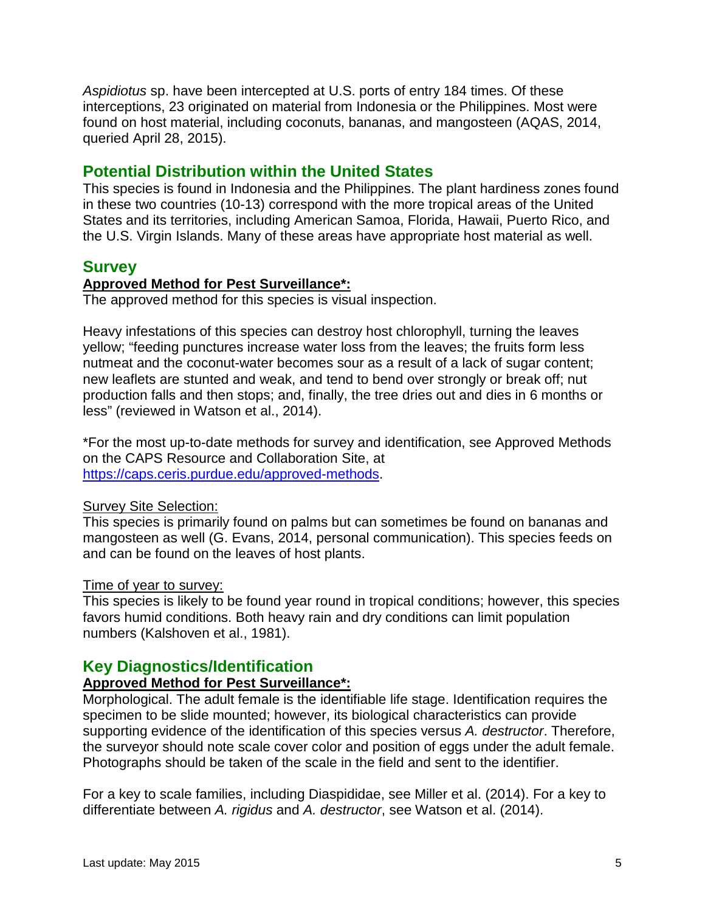*Aspidiotus* sp. have been intercepted at U.S. ports of entry 184 times. Of these interceptions, 23 originated on material from Indonesia or the Philippines. Most were found on host material, including coconuts, bananas, and mangosteen (AQAS, 2014, queried April 28, 2015).

## **Potential Distribution within the United States**

This species is found in Indonesia and the Philippines. The plant hardiness zones found in these two countries (10-13) correspond with the more tropical areas of the United States and its territories, including American Samoa, Florida, Hawaii, Puerto Rico, and the U.S. Virgin Islands. Many of these areas have appropriate host material as well.

## **Survey**

#### **Approved Method for Pest Surveillance\*:**

The approved method for this species is visual inspection.

Heavy infestations of this species can destroy host chlorophyll, turning the leaves yellow; "feeding punctures increase water loss from the leaves; the fruits form less nutmeat and the coconut-water becomes sour as a result of a lack of sugar content; new leaflets are stunted and weak, and tend to bend over strongly or break off; nut production falls and then stops; and, finally, the tree dries out and dies in 6 months or less" (reviewed in Watson et al., 2014).

\*For the most up-to-date methods for survey and identification, see Approved Methods on the CAPS Resource and Collaboration Site, at [https://caps.ceris.purdue.edu/approved-methods.](https://caps.ceris.purdue.edu/approved-methods)

#### Survey Site Selection:

This species is primarily found on palms but can sometimes be found on bananas and mangosteen as well (G. Evans, 2014, personal communication). This species feeds on and can be found on the leaves of host plants.

#### Time of year to survey:

This species is likely to be found year round in tropical conditions; however, this species favors humid conditions. Both heavy rain and dry conditions can limit population numbers (Kalshoven et al., 1981).

## **Key Diagnostics/Identification**

#### **Approved Method for Pest Surveillance\*:**

Morphological. The adult female is the identifiable life stage. Identification requires the specimen to be slide mounted; however, its biological characteristics can provide supporting evidence of the identification of this species versus *A. destructor*. Therefore, the surveyor should note scale cover color and position of eggs under the adult female. Photographs should be taken of the scale in the field and sent to the identifier.

For a key to scale families, including Diaspididae, see Miller et al. (2014). For a key to differentiate between *A. rigidus* and *A. destructor*, see Watson et al. (2014).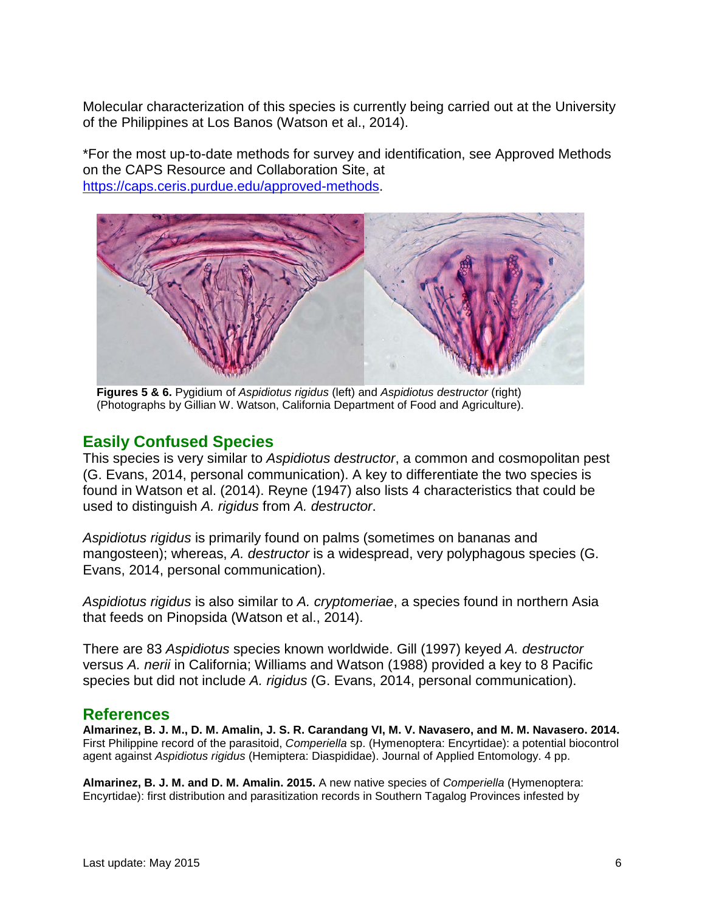Molecular characterization of this species is currently being carried out at the University of the Philippines at Los Banos (Watson et al., 2014).

\*For the most up-to-date methods for survey and identification, see Approved Methods on the CAPS Resource and Collaboration Site, at [https://caps.ceris.purdue.edu/approved-methods.](https://caps.ceris.purdue.edu/approved-methods)



**Figures 5 & 6.** Pygidium of *Aspidiotus rigidus* (left) and *Aspidiotus destructor* (right) (Photographs by Gillian W. Watson, California Department of Food and Agriculture).

# **Easily Confused Species**

This species is very similar to *Aspidiotus destructor*, a common and cosmopolitan pest (G. Evans, 2014, personal communication). A key to differentiate the two species is found in Watson et al. (2014). Reyne (1947) also lists 4 characteristics that could be used to distinguish *A. rigidus* from *A. destructor*.

*Aspidiotus rigidus* is primarily found on palms (sometimes on bananas and mangosteen); whereas, *A. destructor* is a widespread, very polyphagous species (G. Evans, 2014, personal communication).

*Aspidiotus rigidus* is also similar to *A. cryptomeriae*, a species found in northern Asia that feeds on Pinopsida (Watson et al., 2014).

There are 83 *Aspidiotus* species known worldwide. Gill (1997) keyed *A. destructor* versus *A. nerii* in California; Williams and Watson (1988) provided a key to 8 Pacific species but did not include *A. rigidus* (G. Evans, 2014, personal communication).

## **References**

**Almarinez, B. J. M., D. M. Amalin, J. S. R. Carandang VI, M. V. Navasero, and M. M. Navasero. 2014.**  First Philippine record of the parasitoid, *Comperiella* sp. (Hymenoptera: Encyrtidae): a potential biocontrol agent against *Aspidiotus rigidus* (Hemiptera: Diaspididae). Journal of Applied Entomology. 4 pp.

**Almarinez, B. J. M. and D. M. Amalin. 2015.** A new native species of *Comperiella* (Hymenoptera: Encyrtidae): first distribution and parasitization records in Southern Tagalog Provinces infested by